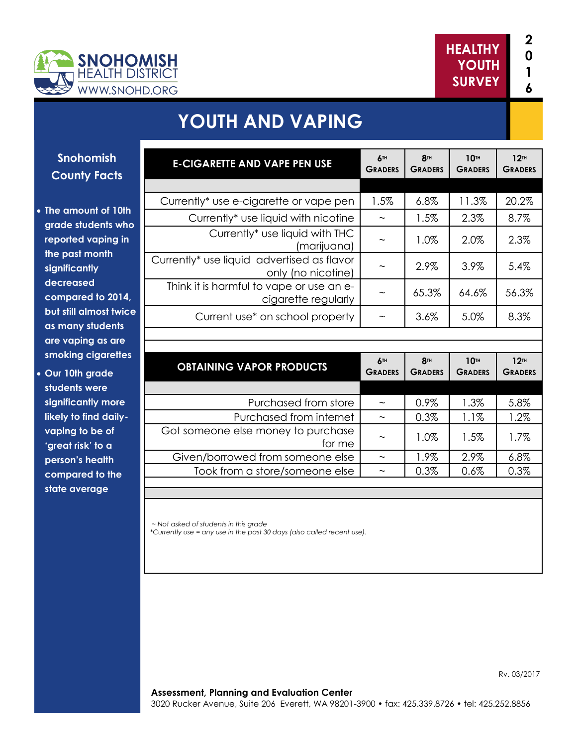

**10TH**

**12TH**

**8TH**

Rv. 03/2017



# **YOUTH AND VAPING**

### **Snohomish County Facts**

- **The amount of 10th grade students who reported vaping in the past month significantly decreased compared to 2014, but still almost twice as many students are vaping as are smoking cigarettes**
- **Our 10th grade students were significantly more likely to find dailyvaping to be of 'great risk' to a person's health compared to the state average**

| <b>E-CIGARETTE AND VAPE PEN USE</b>                              | 6TH<br><b>GRADERS</b>             | <b>8TH</b><br><b>GRADERS</b> | <b>10TH</b><br><b>GRADERS</b> | 12 <sub>TH</sub><br><b>GRADERS</b> |
|------------------------------------------------------------------|-----------------------------------|------------------------------|-------------------------------|------------------------------------|
|                                                                  |                                   |                              |                               |                                    |
| Currently* use e-cigarette or vape pen                           | 1.5%                              | 6.8%                         | 11.3%                         | 20.2%                              |
| Currently* use liquid with nicotine                              |                                   | 1.5%                         | 2.3%                          | 8.7%                               |
| Currently* use liquid with THC<br>(marijuana)                    |                                   | 1.0%                         | 2.0%                          | 2.3%                               |
| Currently* use liquid advertised as flavor<br>only (no nicotine) |                                   | 2.9%                         | 3.9%                          | 5.4%                               |
| Think it is harmful to vape or use an e-<br>cigarette regularly  |                                   | 65.3%                        | 64.6%                         | 56.3%                              |
| Current use* on school property                                  | $\widetilde{\phantom{m}}$         | 3.6%                         | 5.0%                          | 8.3%                               |
|                                                                  |                                   |                              |                               |                                    |
|                                                                  |                                   |                              |                               |                                    |
| <b>OBTAINING VAPOR PRODUCTS</b>                                  | 6 <sup>TH</sup><br><b>GRADERS</b> | <b>8TH</b><br><b>GRADERS</b> | 10TH<br><b>GRADERS</b>        | 12 <sup>TH</sup><br><b>GRADERS</b> |
|                                                                  |                                   |                              |                               |                                    |
| Purchased from store                                             | $\widetilde{\phantom{m}}$         | 0.9%                         | 1.3%                          | 5.8%                               |
| Purchased from internet                                          | $\widetilde{\phantom{m}}$         | 0.3%                         | 1.1%                          | 1.2%                               |
| Got someone else money to purchase<br>for me                     |                                   | 1.0%                         | 1.5%                          | 1.7%                               |
| Given/borrowed from someone else                                 | $\widetilde{\phantom{m}}$         | 1.9%                         | 2.9%                          | 6.8%                               |
| Took from a store/someone else                                   | $\widetilde{\phantom{m}}$         | 0.3%                         | 0.6%                          | 0.3%                               |

*~ Not asked of students in this grade \*Currently use = any use in the past 30 days (also called recent use).*